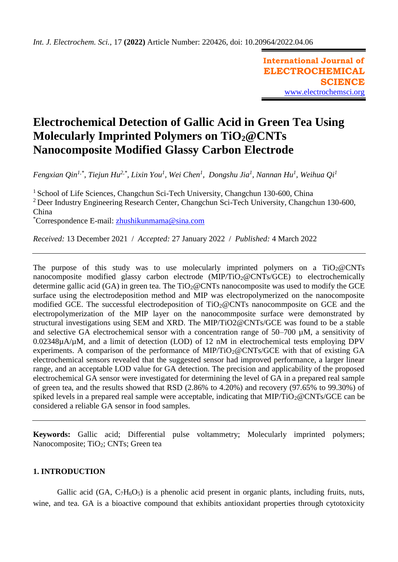**International Journal of ELECTROCHEMICAL SCIENCE** [www.electrochemsci.org](http://www.electrochemsci.org/)

# **Electrochemical Detection of Gallic Acid in Green Tea Using Molecularly Imprinted Polymers on TiO2@CNTs Nanocomposite Modified Glassy Carbon Electrode**

*Fengxian Qin1,\*, Tiejun Hu2,\*, Lixin You<sup>1</sup> , Wei Chen<sup>1</sup> , Dongshu Jia<sup>1</sup> , Nannan Hu<sup>1</sup> , Weihua Qi<sup>1</sup>*

<sup>1</sup> School of Life Sciences, Changchun Sci-Tech University, Changchun 130-600, China <sup>2</sup> Deer Industry Engineering Research Center, Changchun Sci-Tech University, Changchun 130-600, China

\*Correspondence E-mail: [zhushikunmama@sina.com](mailto:zhushikunmama@sina.com)

*Received:* 13 December 2021/ *Accepted:* 27 January 2022 / *Published:* 4 March 2022

The purpose of this study was to use molecularly imprinted polymers on a  $TiO<sub>2</sub>@CNTs$ nanocomposite modified glassy carbon electrode (MIP/TiO<sub>2</sub>@CNTs/GCE) to electrochemically determine gallic acid (GA) in green tea. The  $TiO<sub>2</sub>@CNTs$  nanocomposite was used to modify the GCE surface using the electrodeposition method and MIP was electropolymerized on the nanocomposite modified GCE. The successful electrodeposition of TiO<sub>2</sub>@CNTs nanocommposite on GCE and the electropolymerization of the MIP layer on the nanocommposite surface were demonstrated by structural investigations using SEM and XRD. The MIP/TiO2@CNTs/GCE was found to be a stable and selective GA electrochemical sensor with a concentration range of 50–700 µM, a sensitivity of 0.02348µA/µM, and a limit of detection (LOD) of 12 nM in electrochemical tests employing DPV experiments. A comparison of the performance of MIP/TiO<sub>2</sub>@CNTs/GCE with that of existing GA electrochemical sensors revealed that the suggested sensor had improved performance, a larger linear range, and an acceptable LOD value for GA detection. The precision and applicability of the proposed electrochemical GA sensor were investigated for determining the level of GA in a prepared real sample of green tea, and the results showed that RSD (2.86% to 4.20%) and recovery (97.65% to 99.30%) of spiked levels in a prepared real sample were acceptable, indicating that  $MIP/TiO_2@CNTs/GCE$  can be considered a reliable GA sensor in food samples.

**Keywords:** Gallic acid; Differential pulse voltammetry; Molecularly imprinted polymers; Nanocomposite; TiO<sub>2</sub>; CNTs; Green tea

# **1. INTRODUCTION**

Gallic acid (GA,  $C_7H_6O_5$ ) is a phenolic acid present in organic plants, including fruits, nuts, wine, and tea. GA is a bioactive compound that exhibits antioxidant properties through cytotoxicity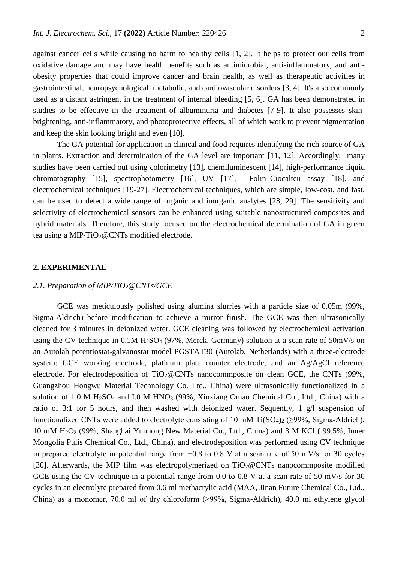against cancer cells while causing no harm to healthy cells [\[1,](#page-9-0) [2\]](#page-9-1). It helps to protect our cells from oxidative damage and may have health benefits such as antimicrobial, anti-inflammatory, and antiobesity properties that could improve cancer and brain health, as well as therapeutic activities in gastrointestinal, neuropsychological, metabolic, and cardiovascular disorders [\[3,](#page-9-2) [4\]](#page-9-3). It's also commonly used as a distant astringent in the treatment of internal bleeding [\[5,](#page-9-4) [6\]](#page-9-5). GA has been demonstrated in studies to be effective in the treatment of albuminuria and diabetes [\[7-9\]](#page-9-6). It also possesses skinbrightening, anti-inflammatory, and photoprotective effects, all of which work to prevent pigmentation and keep the skin looking bright and even [\[10\]](#page-9-7).

The GA potential for application in clinical and food requires identifying the rich source of GA in plants. Extraction and determination of the GA level are important [\[11,](#page-9-8) [12\]](#page-9-9). Accordingly, many studies have been carried out using colorimetry [\[13\]](#page-9-10), chemiluminescent [\[14\]](#page-9-11), high-performance liquid chromatography [\[15\]](#page-9-12), spectrophotometry [\[16\]](#page-9-13), UV [\[17\]](#page-9-14), Folin–Ciocalteu assay [\[18\]](#page-9-15), and electrochemical techniques [\[19-27\]](#page-9-16). Electrochemical techniques, which are simple, low-cost, and fast, can be used to detect a wide range of organic and inorganic analytes [\[28,](#page-10-0) [29\]](#page-10-1). The sensitivity and selectivity of electrochemical sensors can be enhanced using suitable nanostructured composites and hybrid materials. Therefore, this study focused on the electrochemical determination of GA in green tea using a MIP/TiO2@CNTs modified electrode.

# **2. EXPERIMENTAL**

## *2.1. Preparation of MIP/TiO2@CNTs/GCE*

GCE was meticulously polished using alumina slurries with a particle size of 0.05m (99%, Sigma-Aldrich) before modification to achieve a mirror finish. The GCE was then ultrasonically cleaned for 3 minutes in deionized water. GCE cleaning was followed by electrochemical activation using the CV technique in  $0.1M H<sub>2</sub>SO<sub>4</sub>$  (97%, Merck, Germany) solution at a scan rate of 50mV/s on an Autolab potentiostat-galvanostat model PGSTAT30 (Autolab, Netherlands) with a three-electrode system: GCE working electrode, platinum plate counter electrode, and an Ag/AgCl reference electrode. For electrodeposition of  $TiO<sub>2</sub>@CNTs$  nanocommposite on clean GCE, the CNTs (99%, Guangzhou Hongwu Material Technology Co. Ltd., China) were ultrasonically functionalized in a solution of 1.0 M H<sub>2</sub>SO<sub>4</sub> and I.0 M HNO<sub>3</sub> (99%, Xinxiang Omao Chemical Co., Ltd., China) with a ratio of 3:1 for 5 hours, and then washed with deionized water. Sequently, 1 g/l suspension of functionalized CNTs were added to electrolyte consisting of 10 mM Ti( $SO<sub>4</sub>$ )<sub>2</sub> ( $\geq$ 99%, Sigma-Aldrich), 10 mM H2O<sup>2</sup> (99%, Shanghai Yunhong New Material Co., Ltd., China) and 3 M KCl ( 99.5%, Inner Mongolia Pulis Chemical Co., Ltd., China), and electrodeposition was performed using CV technique in prepared electrolyte in potential range from −0.8 to 0.8 V at a scan rate of 50 mV/s for 30 cycles [\[30\]](#page-10-2). Afterwards, the MIP film was electropolymerized on  $TiO<sub>2</sub>@CNTs$  nanocommposite modified GCE using the CV technique in a potential range from 0.0 to 0.8 V at a scan rate of 50 mV/s for 30 cycles in an electrolyte prepared from 0.6 ml methacrylic acid (MAA, Jinan Future Chemical Co., Ltd., China) as a monomer, 70.0 ml of dry chloroform (≥99%, Sigma-Aldrich), 40.0 ml ethylene glycol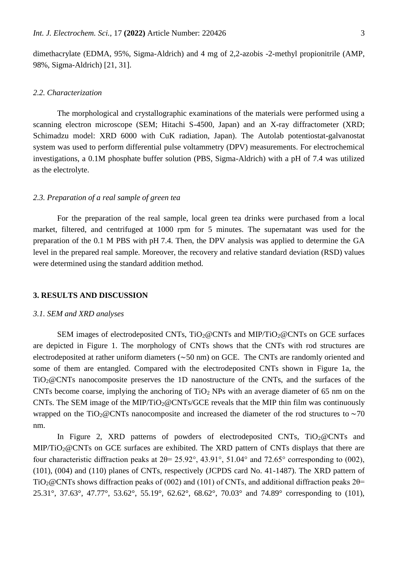dimethacrylate (EDMA, 95%, Sigma-Aldrich) and 4 mg of 2,2-azobis -2-methyl propionitrile (AMP, 98%, Sigma-Aldrich) [\[21,](#page-10-3) [31\]](#page-10-4).

## *2.2. Characterization*

The morphological and crystallographic examinations of the materials were performed using a scanning electron microscope (SEM; Hitachi S-4500, Japan) and an X-ray diffractometer (XRD; Schimadzu model: XRD 6000 with CuK radiation, Japan). The Autolab potentiostat-galvanostat system was used to perform differential pulse voltammetry (DPV) measurements. For electrochemical investigations, a 0.1M phosphate buffer solution (PBS, Sigma-Aldrich) with a pH of 7.4 was utilized as the electrolyte.

# *2.3. Preparation of a real sample of green tea*

For the preparation of the real sample, local green tea drinks were purchased from a local market, filtered, and centrifuged at 1000 rpm for 5 minutes. The supernatant was used for the preparation of the 0.1 M PBS with pH 7.4. Then, the DPV analysis was applied to determine the GA level in the prepared real sample. Moreover, the recovery and relative standard deviation (RSD) values were determined using the standard addition method.

# **3. RESULTS AND DISCUSSION**

#### *3.1. SEM and XRD analyses*

SEM images of electrodeposited CNTs,  $TiO<sub>2</sub>@CNTs$  and MIP/TiO<sub>2</sub>@CNTs on GCE surfaces are depicted in Figure 1. The morphology of CNTs shows that the CNTs with rod structures are electrodeposited at rather uniform diameters (~50 nm) on GCE. The CNTs are randomly oriented and some of them are entangled. Compared with the electrodeposited CNTs shown in Figure 1a, the TiO2@CNTs nanocomposite preserves the 1D nanostructure of the CNTs, and the surfaces of the CNTs become coarse, implying the anchoring of  $TiO<sub>2</sub>$  NPs with an average diameter of 65 nm on the CNTs. The SEM image of the MIP/TiO<sub>2</sub>@CNTs/GCE reveals that the MIP thin film was continuously wrapped on the TiO<sub>2</sub>@CNTs nanocomposite and increased the diameter of the rod structures to  $\sim$ 70 nm.

In Figure 2, XRD patterns of powders of electrodeposited CNTs,  $TiO<sub>2</sub>@CNTs$  and MIP/TiO<sub>2</sub>@CNTs on GCE surfaces are exhibited. The XRD pattern of CNTs displays that there are four characteristic diffraction peaks at 2θ= 25.92°, 43.91°, 51.04° and 72.65° corresponding to (002), (101), (004) and (110) planes of CNTs, respectively (JCPDS card No. 41-1487). The XRD pattern of TiO<sub>2</sub>@CNTs shows diffraction peaks of (002) and (101) of CNTs, and additional diffraction peaks  $2\theta$ = 25.31°, 37.63°, 47.77°, 53.62°, 55.19°, 62.62°, 68.62°, 70.03° and 74.89° corresponding to (101),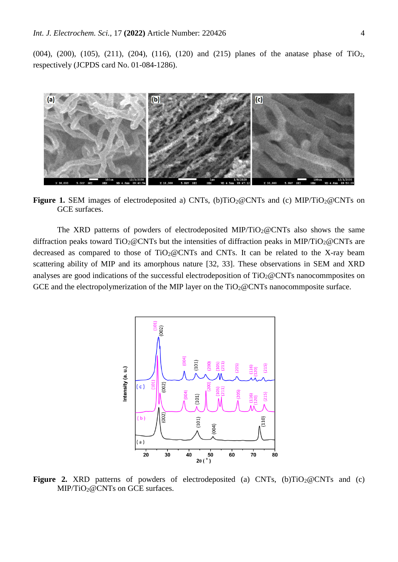(004), (200), (105), (211), (204), (116), (120) and (215) planes of the anatase phase of TiO<sub>2</sub>, respectively (JCPDS card No. 01-084-1286).



**Figure 1.** SEM images of electrodeposited a) CNTs, (b)TiO<sub>2</sub>@CNTs and (c) MIP/TiO<sub>2</sub>@CNTs on GCE surfaces.

The XRD patterns of powders of electrodeposited MIP/TiO<sub>2</sub>@CNTs also shows the same diffraction peaks toward  $TiO<sub>2</sub>@CNTs$  but the intensities of diffraction peaks in MIP/TiO<sub>2</sub>@CNTs are decreased as compared to those of  $TiO<sub>2</sub>@CNTs$  and CNTs. It can be related to the X-ray beam scattering ability of MIP and its amorphous nature [\[32,](#page-10-5) [33\]](#page-10-6). These observations in SEM and XRD analyses are good indications of the successful electrodeposition of  $TiO<sub>2</sub>@CNTs$  nanocommposites on GCE and the electropolymerization of the MIP layer on the  $TiO<sub>2</sub>@CNTs$  nanocommposite surface.



**Figure 2.** XRD patterns of powders of electrodeposited (a) CNTs,  $(b)TiO<sub>2</sub>@CNTs$  and (c) MIP/TiO<sub>2</sub>@CNTs on GCE surfaces.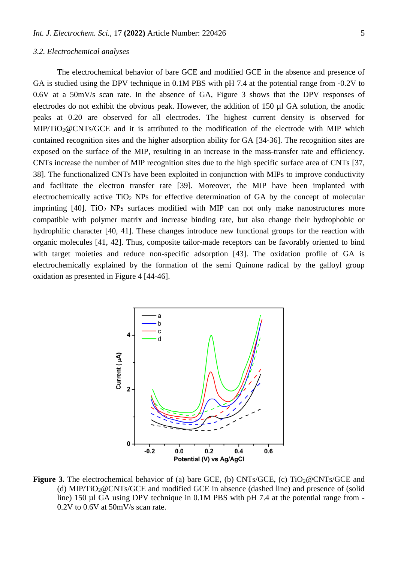#### *3.2. Electrochemical analyses*

The electrochemical behavior of bare GCE and modified GCE in the absence and presence of GA is studied using the DPV technique in 0.1M PBS with pH 7.4 at the potential range from -0.2V to 0.6V at a 50mV/s scan rate. In the absence of GA, Figure 3 shows that the DPV responses of electrodes do not exhibit the obvious peak. However, the addition of 150 µl GA solution, the anodic peaks at 0.20 are observed for all electrodes. The highest current density is observed for MIP/TiO2@CNTs/GCE and it is attributed to the modification of the electrode with MIP which contained recognition sites and the higher adsorption ability for GA [\[34-36\]](#page-10-7). The recognition sites are exposed on the surface of the MIP, resulting in an increase in the mass-transfer rate and efficiency. CNTs increase the number of MIP recognition sites due to the high specific surface area of CNTs [\[37,](#page-10-8) [38\]](#page-10-9). The functionalized CNTs have been exploited in conjunction with MIPs to improve conductivity and facilitate the electron transfer rate [\[39\]](#page-10-10). Moreover, the MIP have been implanted with electrochemically active  $TiO<sub>2</sub>$  NPs for effective determination of GA by the concept of molecular imprinting  $[40]$ . TiO<sub>2</sub> NPs surfaces modified with MIP can not only make nanostructures more compatible with polymer matrix and increase binding rate, but also change their hydrophobic or hydrophilic character [\[40,](#page-10-11) [41\]](#page-10-12). These changes introduce new functional groups for the reaction with organic molecules [\[41,](#page-10-12) [42\]](#page-10-13). Thus, composite tailor-made receptors can be favorably oriented to bind with target moieties and reduce non-specific adsorption [\[43\]](#page-10-14). The oxidation profile of GA is electrochemically explained by the formation of the semi Quinone radical by the galloyl group oxidation as presented in Figure 4 [\[44-46\]](#page-10-15).



**Figure 3.** The electrochemical behavior of (a) bare GCE, (b) CNTs/GCE, (c) TiO<sub>2</sub>@CNTs/GCE and (d) MIP/TiO<sub>2</sub>@CNTs/GCE and modified GCE in absence (dashed line) and presence of (solid line) 150 µl GA using DPV technique in 0.1M PBS with pH 7.4 at the potential range from -0.2V to 0.6V at 50mV/s scan rate.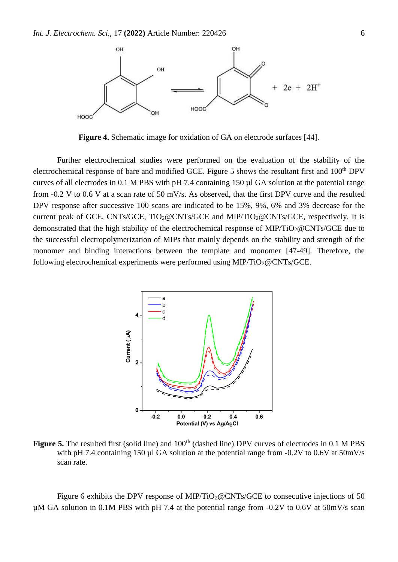

**Figure 4.** Schematic image for oxidation of GA on electrode surfaces [\[44\]](#page-10-15).

Further electrochemical studies were performed on the evaluation of the stability of the electrochemical response of bare and modified GCE. Figure 5 shows the resultant first and 100<sup>th</sup> DPV curves of all electrodes in 0.1 M PBS with pH 7.4 containing 150 µl GA solution at the potential range from -0.2 V to 0.6 V at a scan rate of 50 mV/s. As observed, that the first DPV curve and the resulted DPV response after successive 100 scans are indicated to be 15%, 9%, 6% and 3% decrease for the current peak of GCE, CNTs/GCE, TiO<sub>2</sub>@CNTs/GCE and MIP/TiO<sub>2</sub>@CNTs/GCE, respectively. It is demonstrated that the high stability of the electrochemical response of MIP/TiO<sub>2</sub>@CNTs/GCE due to the successful electropolymerization of MIPs that mainly depends on the stability and strength of the monomer and binding interactions between the template and monomer [\[47-49\]](#page-10-16). Therefore, the following electrochemical experiments were performed using  $MIP/TiO<sub>2</sub>@CNTs/GCE$ .



**Figure 5.** The resulted first (solid line) and 100<sup>th</sup> (dashed line) DPV curves of electrodes in 0.1 M PBS with pH 7.4 containing 150 µl GA solution at the potential range from -0.2V to 0.6V at 50mV/s scan rate.

Figure 6 exhibits the DPV response of MIP/TiO<sub>2</sub>@CNTs/GCE to consecutive injections of 50  $\mu$ M GA solution in 0.1M PBS with pH 7.4 at the potential range from -0.2V to 0.6V at 50mV/s scan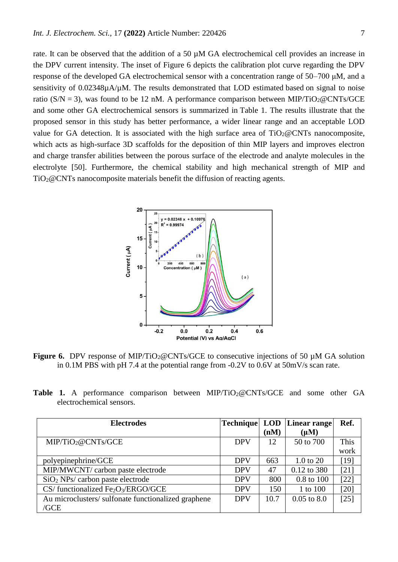rate. It can be observed that the addition of a 50 µM GA electrochemical cell provides an increase in the DPV current intensity. The inset of Figure 6 depicts the calibration plot curve regarding the DPV response of the developed GA electrochemical sensor with a concentration range of 50–700 μM, and a sensitivity of 0.02348µA/µM. The results demonstrated that LOD estimated based on signal to noise ratio ( $S/N = 3$ ), was found to be 12 nM. A performance comparison between MIP/TiO<sub>2</sub>@CNTs/GCE and some other GA electrochemical sensors is summarized in Table 1. The results illustrate that the proposed sensor in this study has better performance, a wider linear range and an acceptable LOD value for GA detection. It is associated with the high surface area of  $TiO<sub>2</sub>@CNTs$  nanocomposite, which acts as high-surface 3D scaffolds for the deposition of thin MIP layers and improves electron and charge transfer abilities between the porous surface of the electrode and analyte molecules in the electrolyte [\[50\]](#page-10-17). Furthermore, the chemical stability and high mechanical strength of MIP and TiO2@CNTs nanocomposite materials benefit the diffusion of reacting agents.



**Figure 6.** DPV response of MIP/TiO<sub>2</sub>@CNTs/GCE to consecutive injections of 50 µM GA solution in 0.1M PBS with pH 7.4 at the potential range from -0.2V to 0.6V at 50mV/s scan rate.

|                          |  |  |  |  |  | <b>Table 1.</b> A performance comparison between $MIP/TiO_2@CNTs/GCE$ and some other GA |  |  |
|--------------------------|--|--|--|--|--|-----------------------------------------------------------------------------------------|--|--|
| electrochemical sensors. |  |  |  |  |  |                                                                                         |  |  |

| <b>Electrodes</b>                                          |            |      | <b>Technique LOD Linear range</b> | Ref.   |
|------------------------------------------------------------|------------|------|-----------------------------------|--------|
|                                                            |            | (nM) | $(\mu M)$                         |        |
| MIP/TiO <sub>2</sub> @CNTs/GCE                             | <b>DPV</b> | 12   | 50 to 700                         | This   |
|                                                            |            |      |                                   | work   |
| polyepinephrine/GCE                                        | <b>DPV</b> | 663  | $1.0$ to $20$                     | $[19]$ |
| MIP/MWCNT/ carbon paste electrode                          | <b>DPV</b> | 47   | 0.12 to 380                       | [21]   |
| $SiO2$ NPs/ carbon paste electrode                         | <b>DPV</b> | 800  | 0.8 to 100                        | $[22]$ |
| CS/functionalized Fe <sub>2</sub> O <sub>3</sub> /ERGO/GCE | <b>DPV</b> | 150  | 1 to 100                          | $[20]$ |
| Au microclusters/sulfonate functionalized graphene         | <b>DPV</b> | 10.7 | $0.05$ to $8.0$                   | $[25]$ |
| /GCE                                                       |            |      |                                   |        |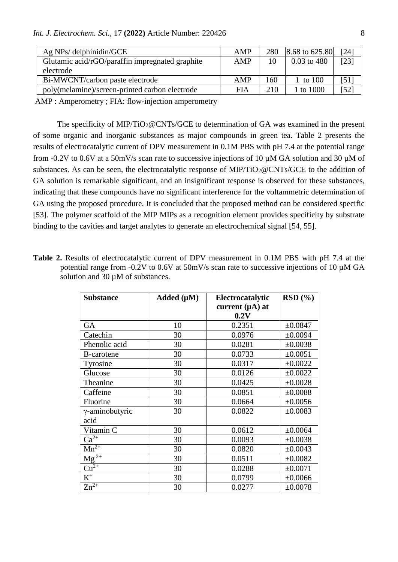| $Ag$ NPs/ delphinidin/GCE                       | AMP | 280 | $ 8.68 \text{ to } 625.80 $ | [24]         |
|-------------------------------------------------|-----|-----|-----------------------------|--------------|
| Glutamic acid/rGO/paraffin impregnated graphite | AMP | 10  | $0.03$ to 480               | [23]         |
| electrode                                       |     |     |                             |              |
| Bi-MWCNT/carbon paste electrode                 | AMP | 160 | 1 to 100                    | [51]         |
| poly(melamine)/screen-printed carbon electrode  | FIA | 210 | 1 to 1000                   | $52^{\circ}$ |

AMP : Amperometry ; FIA: flow-injection amperometry

The specificity of MIP/TiO<sub>2</sub>@CNTs/GCE to determination of GA was examined in the present of some organic and inorganic substances as major compounds in green tea. Table 2 presents the results of electrocatalytic current of DPV measurement in 0.1M PBS with pH 7.4 at the potential range from -0.2V to 0.6V at a 50mV/s scan rate to successive injections of 10 µM GA solution and 30 µM of substances. As can be seen, the electrocatalytic response of MIP/TiO<sub>2</sub>@CNTs/GCE to the addition of GA solution is remarkable significant, and an insignificant response is observed for these substances, indicating that these compounds have no significant interference for the voltammetric determination of GA using the proposed procedure. It is concluded that the proposed method can be considered specific [\[53\]](#page-11-2). The polymer scaffold of the MIP MIPs as a recognition element provides specificity by substrate binding to the cavities and target analytes to generate an electrochemical signal [\[54,](#page-11-3) [55\]](#page-11-4).

**Table 2.** Results of electrocatalytic current of DPV measurement in 0.1M PBS with pH 7.4 at the potential range from -0.2V to 0.6V at 50mV/s scan rate to successive injections of 10  $\mu$ M GA solution and 30  $\mu$ M of substances.

| <b>Substance</b>              | Added $(\mu M)$ | Electrocatalytic     | RSD(%)  |
|-------------------------------|-----------------|----------------------|---------|
|                               |                 | current $(\mu A)$ at |         |
|                               |                 | 0.2V                 |         |
| GA                            | 10              | 0.2351               | ±0.0847 |
| Catechin                      | 30              | 0.0976               | ±0.0094 |
| Phenolic acid                 | 30              | 0.0281               | ±0.0038 |
| <b>B-carotene</b>             | 30              | 0.0733               | ±0.0051 |
| Tyrosine                      | 30              | 0.0317               | ±0.0022 |
| Glucose                       | 30              | 0.0126               | ±0.0022 |
| Theanine                      | 30              | 0.0425               | ±0.0028 |
| Caffeine                      | 30              | 0.0851               | ±0.0088 |
| Fluorine                      | 30              | 0.0664               | ±0.0056 |
| γ-aminobutyric                | 30              | 0.0822               | ±0.0083 |
| acid                          |                 |                      |         |
| Vitamin C                     | 30              | 0.0612               | ±0.0064 |
| $Ca^{2+}$                     | 30              | 0.0093               | ±0.0038 |
| $Mn^{2+}$                     | 30              | 0.0820               | ±0.0043 |
| $\overline{\text{Mg}^{2+}}$   | 30              | 0.0511               | ±0.0082 |
| $\overline{\mathrm{Cu}^{2+}}$ | 30              | 0.0288               | ±0.0071 |
| $\rm K^+$                     | 30              | 0.0799               | ±0.0066 |
| $Zn^{2+}$                     | 30              | 0.0277               | ±0.0078 |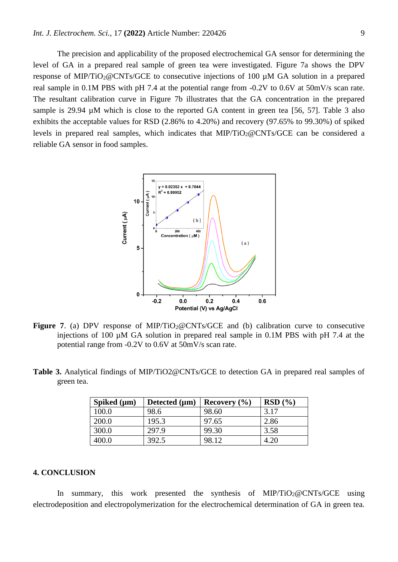The precision and applicability of the proposed electrochemical GA sensor for determining the level of GA in a prepared real sample of green tea were investigated. Figure 7a shows the DPV response of MIP/TiO2@CNTs/GCE to consecutive injections of 100 µM GA solution in a prepared real sample in 0.1M PBS with pH 7.4 at the potential range from -0.2V to 0.6V at 50mV/s scan rate. The resultant calibration curve in Figure 7b illustrates that the GA concentration in the prepared sample is 29.94  $\mu$ M which is close to the reported GA content in green tea [\[56,](#page-11-5) [57\]](#page-11-6). Table 3 also exhibits the acceptable values for RSD (2.86% to 4.20%) and recovery (97.65% to 99.30%) of spiked levels in prepared real samples, which indicates that MIP/TiO<sub>2</sub>@CNTs/GCE can be considered a reliable GA sensor in food samples.



- **Figure 7.** (a) DPV response of MIP/TiO<sub>2</sub>@CNTs/GCE and (b) calibration curve to consecutive injections of 100  $\mu$ M GA solution in prepared real sample in 0.1M PBS with pH 7.4 at the potential range from -0.2V to 0.6V at 50mV/s scan rate.
- **Table 3.** Analytical findings of MIP/TiO2@CNTs/GCE to detection GA in prepared real samples of green tea.

| Spiked $(\mu m)$ | Detected $(\mu m)$ | Recovery $(\% )$ | RSD(%) |
|------------------|--------------------|------------------|--------|
| 100.0            | 98.6               | 98.60            | 3.17   |
| 200.0            | 195.3              | 97.65            | 2.86   |
| 300.0            | 297.9              | 99.30            | 3.58   |
| 400.0            | 392.5              | 98.12            | 4.20   |

# **4. CONCLUSION**

In summary, this work presented the synthesis of MIP/TiO<sub>2</sub>@CNTs/GCE using electrodeposition and electropolymerization for the electrochemical determination of GA in green tea.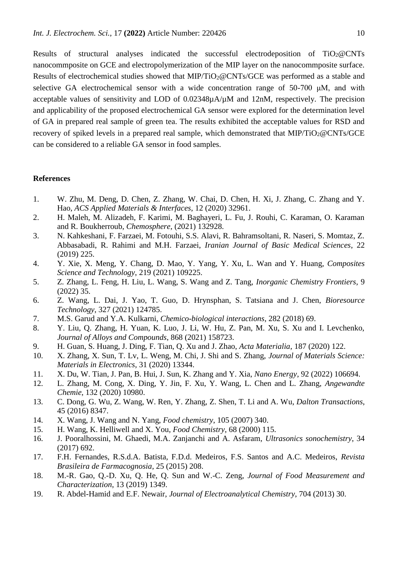Results of structural analyses indicated the successful electrodeposition of  $TiO<sub>2</sub>@CNTs$ nanocommposite on GCE and electropolymerization of the MIP layer on the nanocommposite surface. Results of electrochemical studies showed that MIP/TiO<sub>2</sub>@CNTs/GCE was performed as a stable and selective GA electrochemical sensor with a wide concentration range of 50-700 μM, and with acceptable values of sensitivity and LOD of 0.02348µA/µM and 12nM, respectively. The precision and applicability of the proposed electrochemical GA sensor were explored for the determination level of GA in prepared real sample of green tea. The results exhibited the acceptable values for RSD and recovery of spiked levels in a prepared real sample, which demonstrated that MIP/TiO<sub>2</sub>@CNTs/GCE can be considered to a reliable GA sensor in food samples.

# **References**

- <span id="page-9-0"></span>1. W. Zhu, M. Deng, D. Chen, Z. Zhang, W. Chai, D. Chen, H. Xi, J. Zhang, C. Zhang and Y. Hao, *ACS Applied Materials & Interfaces*, 12 (2020) 32961.
- <span id="page-9-1"></span>2. H. Maleh, M. Alizadeh, F. Karimi, M. Baghayeri, L. Fu, J. Rouhi, C. Karaman, O. Karaman and R. Boukherroub, *Chemosphere*, (2021) 132928.
- <span id="page-9-2"></span>3. N. Kahkeshani, F. Farzaei, M. Fotouhi, S.S. Alavi, R. Bahramsoltani, R. Naseri, S. Momtaz, Z. Abbasabadi, R. Rahimi and M.H. Farzaei, *Iranian Journal of Basic Medical Sciences*, 22 (2019) 225.
- <span id="page-9-3"></span>4. Y. Xie, X. Meng, Y. Chang, D. Mao, Y. Yang, Y. Xu, L. Wan and Y. Huang, *Composites Science and Technology*, 219 (2021) 109225.
- <span id="page-9-4"></span>5. Z. Zhang, L. Feng, H. Liu, L. Wang, S. Wang and Z. Tang, *Inorganic Chemistry Frontiers*, 9 (2022) 35.
- <span id="page-9-5"></span>6. Z. Wang, L. Dai, J. Yao, T. Guo, D. Hrynsphan, S. Tatsiana and J. Chen, *Bioresource Technology*, 327 (2021) 124785.
- <span id="page-9-6"></span>7. M.S. Garud and Y.A. Kulkarni, *Chemico-biological interactions*, 282 (2018) 69.
- 8. Y. Liu, Q. Zhang, H. Yuan, K. Luo, J. Li, W. Hu, Z. Pan, M. Xu, S. Xu and I. Levchenko, *Journal of Alloys and Compounds*, 868 (2021) 158723.
- 9. H. Guan, S. Huang, J. Ding, F. Tian, Q. Xu and J. Zhao, *Acta Materialia*, 187 (2020) 122.
- <span id="page-9-7"></span>10. X. Zhang, X. Sun, T. Lv, L. Weng, M. Chi, J. Shi and S. Zhang, *Journal of Materials Science: Materials in Electronics*, 31 (2020) 13344.
- <span id="page-9-8"></span>11. X. Du, W. Tian, J. Pan, B. Hui, J. Sun, K. Zhang and Y. Xia, *Nano Energy*, 92 (2022) 106694.
- <span id="page-9-9"></span>12. L. Zhang, M. Cong, X. Ding, Y. Jin, F. Xu, Y. Wang, L. Chen and L. Zhang, *Angewandte Chemie*, 132 (2020) 10980.
- <span id="page-9-10"></span>13. C. Dong, G. Wu, Z. Wang, W. Ren, Y. Zhang, Z. Shen, T. Li and A. Wu, *Dalton Transactions*, 45 (2016) 8347.
- <span id="page-9-11"></span>14. X. Wang, J. Wang and N. Yang, *Food chemistry*, 105 (2007) 340.
- <span id="page-9-12"></span>15. H. Wang, K. Helliwell and X. You, *Food Chemistry*, 68 (2000) 115.
- <span id="page-9-13"></span>16. J. Pooralhossini, M. Ghaedi, M.A. Zanjanchi and A. Asfaram, *Ultrasonics sonochemistry*, 34 (2017) 692.
- <span id="page-9-14"></span>17. F.H. Fernandes, R.S.d.A. Batista, F.D.d. Medeiros, F.S. Santos and A.C. Medeiros, *Revista Brasileira de Farmacognosia*, 25 (2015) 208.
- <span id="page-9-15"></span>18. M.-R. Gao, Q.-D. Xu, Q. He, Q. Sun and W.-C. Zeng, *Journal of Food Measurement and Characterization*, 13 (2019) 1349.
- <span id="page-9-16"></span>19. R. Abdel-Hamid and E.F. Newair, *Journal of Electroanalytical Chemistry*, 704 (2013) 30.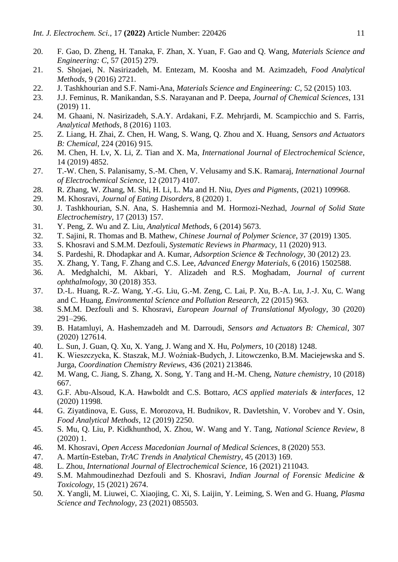- <span id="page-10-19"></span>20. F. Gao, D. Zheng, H. Tanaka, F. Zhan, X. Yuan, F. Gao and Q. Wang, *Materials Science and Engineering: C*, 57 (2015) 279.
- <span id="page-10-3"></span>21. S. Shojaei, N. Nasirizadeh, M. Entezam, M. Koosha and M. Azimzadeh, *Food Analytical Methods*, 9 (2016) 2721.
- <span id="page-10-18"></span>22. J. Tashkhourian and S.F. Nami-Ana, *Materials Science and Engineering: C*, 52 (2015) 103.
- <span id="page-10-22"></span>23. J.J. Feminus, R. Manikandan, S.S. Narayanan and P. Deepa, *Journal of Chemical Sciences*, 131 (2019) 11.
- <span id="page-10-21"></span>24. M. Ghaani, N. Nasirizadeh, S.A.Y. Ardakani, F.Z. Mehrjardi, M. Scampicchio and S. Farris, *Analytical Methods*, 8 (2016) 1103.
- <span id="page-10-20"></span>25. Z. Liang, H. Zhai, Z. Chen, H. Wang, S. Wang, Q. Zhou and X. Huang, *Sensors and Actuators B: Chemical*, 224 (2016) 915.
- 26. M. Chen, H. Lv, X. Li, Z. Tian and X. Ma, *International Journal of Electrochemical Science*, 14 (2019) 4852.
- 27. T.-W. Chen, S. Palanisamy, S.-M. Chen, V. Velusamy and S.K. Ramaraj, *International Journal of Electrochemical Science*, 12 (2017) 4107.
- <span id="page-10-0"></span>28. R. Zhang, W. Zhang, M. Shi, H. Li, L. Ma and H. Niu, *Dyes and Pigments*, (2021) 109968.
- <span id="page-10-1"></span>29. M. Khosravi, *Journal of Eating Disorders*, 8 (2020) 1.
- <span id="page-10-2"></span>30. J. Tashkhourian, S.N. Ana, S. Hashemnia and M. Hormozi-Nezhad, *Journal of Solid State Electrochemistry*, 17 (2013) 157.
- <span id="page-10-4"></span>31. Y. Peng, Z. Wu and Z. Liu, *Analytical Methods*, 6 (2014) 5673.
- <span id="page-10-5"></span>32. T. Sajini, R. Thomas and B. Mathew, *Chinese Journal of Polymer Science*, 37 (2019) 1305.
- <span id="page-10-6"></span>33. S. Khosravi and S.M.M. Dezfouli, *Systematic Reviews in Pharmacy*, 11 (2020) 913.
- <span id="page-10-7"></span>34. S. Pardeshi, R. Dhodapkar and A. Kumar, *Adsorption Science & Technology*, 30 (2012) 23.
- 35. X. Zhang, Y. Tang, F. Zhang and C.S. Lee, *Advanced Energy Materials*, 6 (2016) 1502588.
- 36. A. Medghalchi, M. Akbari, Y. Alizadeh and R.S. Moghadam, *Journal of current ophthalmology*, 30 (2018) 353.
- <span id="page-10-8"></span>37. D.-L. Huang, R.-Z. Wang, Y.-G. Liu, G.-M. Zeng, C. Lai, P. Xu, B.-A. Lu, J.-J. Xu, C. Wang and C. Huang, *Environmental Science and Pollution Research*, 22 (2015) 963.
- <span id="page-10-9"></span>38. S.M.M. Dezfouli and S. Khosravi, *European Journal of Translational Myology*, 30 (2020) 291–296.
- <span id="page-10-10"></span>39. B. Hatamluyi, A. Hashemzadeh and M. Darroudi, *Sensors and Actuators B: Chemical*, 307 (2020) 127614.
- <span id="page-10-11"></span>40. L. Sun, J. Guan, Q. Xu, X. Yang, J. Wang and X. Hu, *Polymers*, 10 (2018) 1248.
- <span id="page-10-12"></span>41. K. Wieszczycka, K. Staszak, M.J. Woźniak-Budych, J. Litowczenko, B.M. Maciejewska and S. Jurga, *Coordination Chemistry Reviews*, 436 (2021) 213846.
- <span id="page-10-13"></span>42. M. Wang, C. Jiang, S. Zhang, X. Song, Y. Tang and H.-M. Cheng, *Nature chemistry*, 10 (2018) 667.
- <span id="page-10-14"></span>43. G.F. Abu-Alsoud, K.A. Hawboldt and C.S. Bottaro, *ACS applied materials & interfaces*, 12 (2020) 11998.
- <span id="page-10-15"></span>44. G. Ziyatdinova, E. Guss, E. Morozova, H. Budnikov, R. Davletshin, V. Vorobev and Y. Osin, *Food Analytical Methods*, 12 (2019) 2250.
- 45. S. Mu, Q. Liu, P. Kidkhunthod, X. Zhou, W. Wang and Y. Tang, *National Science Review*, 8 (2020) 1.
- 46. M. Khosravi, *Open Access Macedonian Journal of Medical Sciences*, 8 (2020) 553.
- <span id="page-10-16"></span>47. A. Martín-Esteban, *TrAC Trends in Analytical Chemistry*, 45 (2013) 169.
- 48. L. Zhou, *International Journal of Electrochemical Science*, 16 (2021) 211043.
- 49. S.M. Mahmoudinezhad Dezfouli and S. Khosravi, *Indian Journal of Forensic Medicine & Toxicology*, 15 (2021) 2674.
- <span id="page-10-17"></span>50. X. Yangli, M. Liuwei, C. Xiaojing, C. Xi, S. Laijin, Y. Leiming, S. Wen and G. Huang, *Plasma Science and Technology*, 23 (2021) 085503.